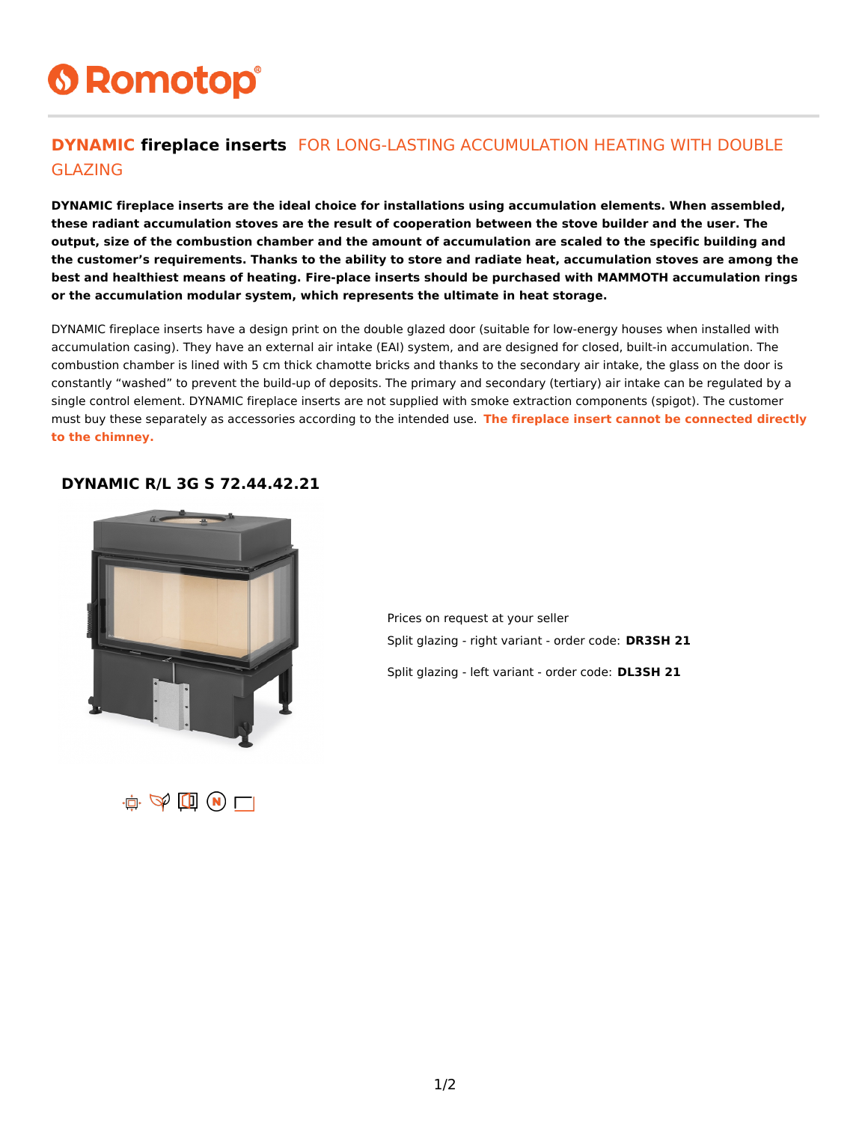# **6 Romotop®**

#### **DYNAMIC fireplace inserts** FOR LONG-LASTING ACCUMULATION HEATING WITH DOUBLE GLAZING

**DYNAMIC fireplace inserts are the ideal choice for installations using accumulation elements. When assembled, these radiant accumulation stoves are the result of cooperation between the stove builder and the user. The output, size of the combustion chamber and the amount of accumulation are scaled to the specific building and the customer's requirements. Thanks to the ability to store and radiate heat, accumulation stoves are among the best and healthiest means of heating. Fire-place inserts should be purchased with MAMMOTH accumulation rings or the accumulation modular system, which represents the ultimate in heat storage.**

DYNAMIC fireplace inserts have a design print on the double glazed door (suitable for low-energy houses when installed with accumulation casing). They have an external air intake (EAI) system, and are designed for closed, built-in accumulation. The combustion chamber is lined with 5 cm thick chamotte bricks and thanks to the secondary air intake, the glass on the door is constantly "washed" to prevent the build-up of deposits. The primary and secondary (tertiary) air intake can be regulated by a single control element. DYNAMIC fireplace inserts are not supplied with smoke extraction components (spigot). The customer must buy these separately as accessories according to the intended use. **The fireplace insert cannot be connected directly to the chimney.**

#### **DYNAMIC R/L 3G S 72.44.42.21**



Prices on request at your seller Split glazing - right variant - order code: **DR3SH 21**

Split glazing - left variant - order code: **DL3SH 21**

 $\mathbf{u} \in \mathbb{R}^n \text{ and } \mathbf{v} \in \mathbb{R}^n$